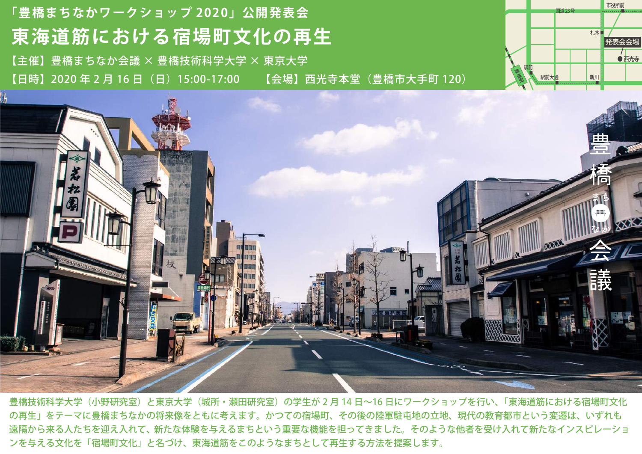## **東海道筋における宿場町文化の再生 「豊橋まちなかワークショップ 2020」公開発表会** 【主催】豊橋まちなか会議 × 豊橋技術科学大学 × 東京大学 【日時】2020 年 2 月 16 日(日)15:00-17:00 【会場】西光寺本堂(豊橋市大手町 120)





豊橋技術科学大学(小野研究室)と東京大学(城所・瀬田研究室)の学生が 2 月 14 日~16 日にワークショップを行い、「東海道筋における宿場町文化 の再生」をテーマに豊橋まちなかの将来像をともに考えます。かつての宿場町、その後の陸軍駐屯地の立地、現代の教育都市という変遷は、いずれも 遠隔から来る人たちを迎え入れて、新たな体験を与えるまちという重要な機能を担ってきました。そのような他者を受け入れて新たなインスピレーショ ンを与える文化を「宿場町文化」と名づけ、東海道筋をこのようなまちとして再生する方法を提案します。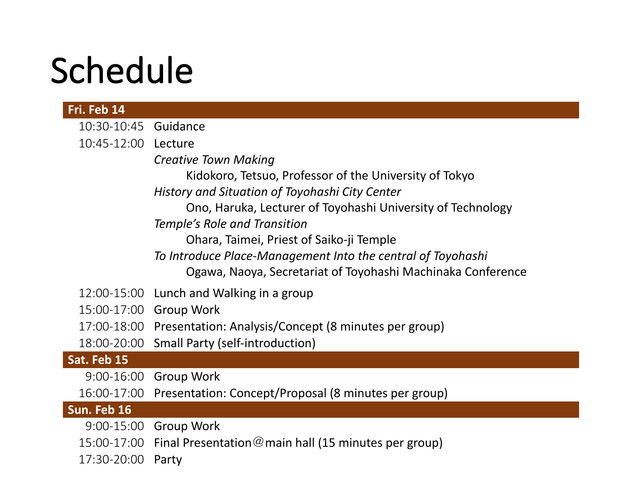## Schedule

| Fri. Feb 14          |                                                                   |
|----------------------|-------------------------------------------------------------------|
| 10:30-10:45 Guidance |                                                                   |
| 10:45-12:00 Lecture  |                                                                   |
|                      | <b>Creative Town Making</b>                                       |
|                      | Kidokoro, Tetsuo, Professor of the University of Tokyo            |
|                      | History and Situation of Toyohashi City Center                    |
|                      | Ono, Haruka, Lecturer of Toyohashi University of Technology       |
|                      | Temple's Role and Transition                                      |
|                      | Ohara, Taimei, Priest of Saiko-ji Temple                          |
|                      | To Introduce Place-Management Into the central of Toyohashi       |
|                      | Ogawa, Naoya, Secretariat of Toyohashi Machinaka Conference       |
|                      | 12:00-15:00 Lunch and Walking in a group                          |
|                      | 15:00-17:00 Group Work                                            |
|                      | 17:00-18:00 Presentation: Analysis/Concept (8 minutes per group)  |
|                      | 18:00-20:00 Small Party (self-introduction)                       |
| Sat. Feb 15          |                                                                   |
| $9:00 - 16:00$       | <b>Group Work</b>                                                 |
| 16:00-17:00          | Presentation: Concept/Proposal (8 minutes per group)              |
| Sun. Feb 16          |                                                                   |
|                      | 9:00-15:00 Group Work                                             |
|                      | 15:00-17:00 Final Presentation @ main hall (15 minutes per group) |
| 17:30-20:00          | Party                                                             |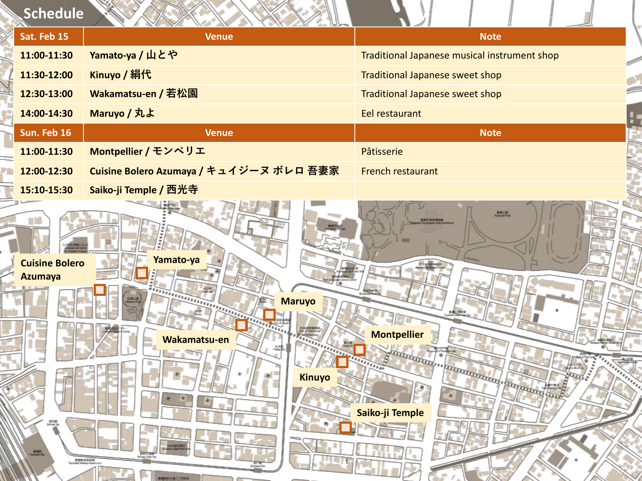| Schedule                                               |                                                                                                                                                                |                                                                                                             |
|--------------------------------------------------------|----------------------------------------------------------------------------------------------------------------------------------------------------------------|-------------------------------------------------------------------------------------------------------------|
| Sat. Feb 15                                            | <b>Venue</b>                                                                                                                                                   | <b>Note</b>                                                                                                 |
| 11:00-11:30                                            | Yamato-ya / 山とや                                                                                                                                                | Traditional Japanese musical instrument shop                                                                |
| 11:30-12:00                                            | Kinuyo / 絹代                                                                                                                                                    | Traditional Japanese sweet shop                                                                             |
| 12:30-13:00                                            | Wakamatsu-en / 若松園                                                                                                                                             | Traditional Japanese sweet shop                                                                             |
| 14:00-14:30                                            | Maruyo / 丸よ                                                                                                                                                    | Eel restaurant                                                                                              |
| Sun. Feb 16                                            | <b>Venue</b>                                                                                                                                                   | <b>Note</b>                                                                                                 |
| 11:00-11:30                                            | Montpellier / モンペリエ                                                                                                                                            | Pâtisserie                                                                                                  |
| 12:00-12:30                                            | Cuisine Bolero Azumaya / キュイジーヌ ボレロ 吾妻家                                                                                                                        | French restaurant                                                                                           |
| 15:10-15:30                                            | Saiko-ji Temple / 西光寺                                                                                                                                          |                                                                                                             |
| <b>Cuisine Bolero</b><br><b>Azumaya</b><br>$rac{1}{2}$ | Yamato-ya<br><b><i><u>Antiquinumin</u></i></b><br><b>Maruyo</b><br>Wakamatsu-en<br>Kinuyo<br>═<br>BASKESSAR<br>Neti Raleay Atsuni Lin<br><b>CERTIFICATIONS</b> | ■検討<br>电图书馆<br>ad: new<br><b>Montpellier</b><br>adaptatori in programmari in programmari<br>Saiko-ji Temple |